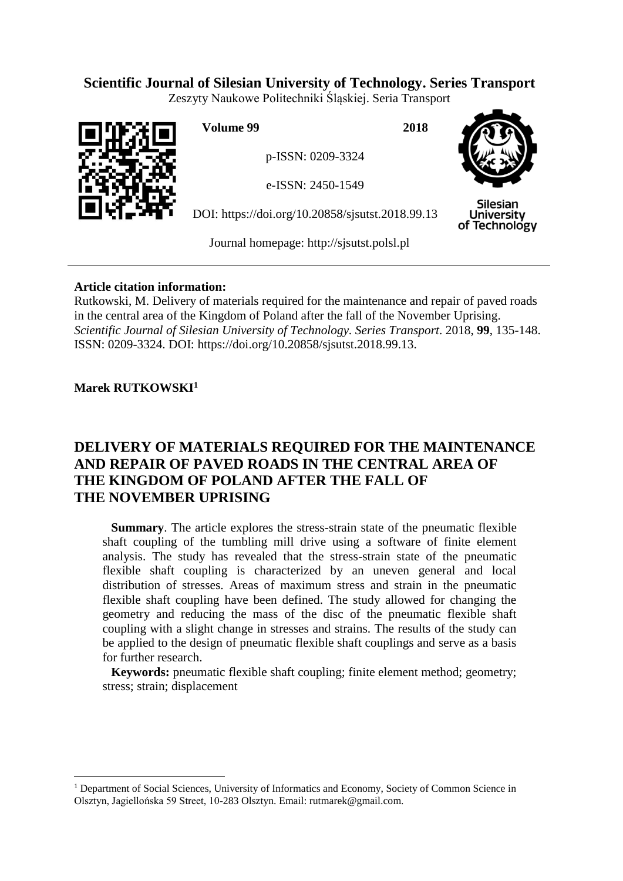## **Scientific Journal of Silesian University of Technology. Series Transport**

Zeszyty Naukowe Politechniki Śląskiej. Seria Transport



**Volume 99 2018**

p-ISSN: 0209-3324

e-ISSN: 2450-1549

DOI: https://doi.org/10.20858/sjsutst.2018.99.13



Silesian **University** of Technology

Journal homepage: [http://sjsutst.polsl.pl](http://sjsutst.polsl.pl/)

## **Article citation information:**

Rutkowski, M. Delivery of materials required for the maintenance and repair of paved roads in the central area of the Kingdom of Poland after the fall of the November Uprising. *Scientific Journal of Silesian University of Technology. Series Transport*. 2018, **99**, 135-148. ISSN: 0209-3324. DOI: https://doi.org/10.20858/sjsutst.2018.99.13.

## **Marek RUTKOWSKI<sup>1</sup>**

 $\overline{a}$ 

# **DELIVERY OF MATERIALS REQUIRED FOR THE MAINTENANCE AND REPAIR OF PAVED ROADS IN THE CENTRAL AREA OF THE KINGDOM OF POLAND AFTER THE FALL OF THE NOVEMBER UPRISING**

**Summary**. The article explores the stress-strain state of the pneumatic flexible shaft coupling of the tumbling mill drive using a software of finite element analysis. The study has revealed that the stress-strain state of the pneumatic flexible shaft coupling is characterized by an uneven general and local distribution of stresses. Areas of maximum stress and strain in the pneumatic flexible shaft coupling have been defined. The study allowed for changing the geometry and reducing the mass of the disc of the pneumatic flexible shaft coupling with a slight change in stresses and strains. The results of the study can be applied to the design of pneumatic flexible shaft couplings and serve as a basis for further research.

**Keywords:** pneumatic flexible shaft coupling; finite element method; geometry; stress; strain; displacement

<sup>&</sup>lt;sup>1</sup> Department of Social Sciences, University of Informatics and Economy, Society of Common Science in Olsztyn, Jagiellońska 59 Street, 10-283 Olsztyn. Email: rutmarek@gmail.com.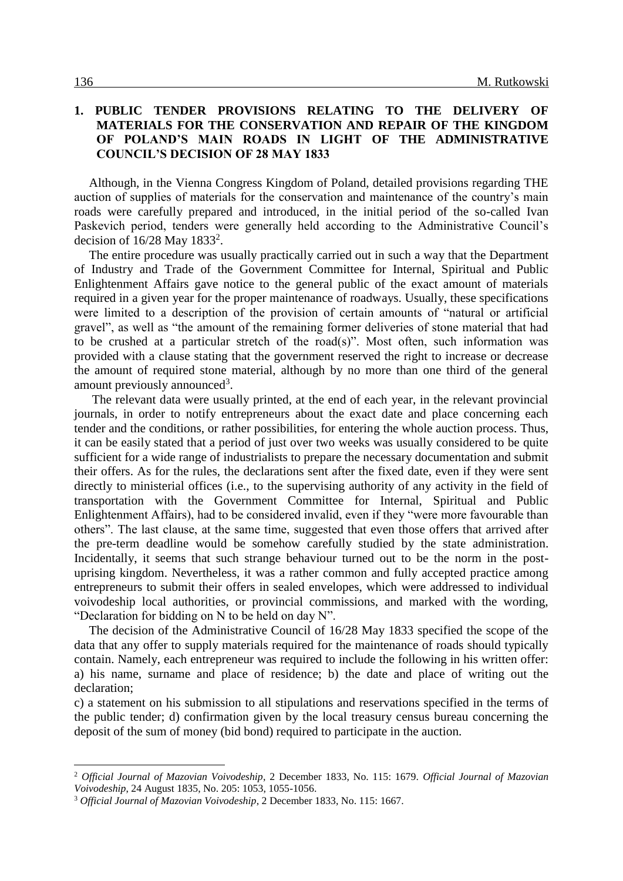### **1. PUBLIC TENDER PROVISIONS RELATING TO THE DELIVERY OF MATERIALS FOR THE CONSERVATION AND REPAIR OF THE KINGDOM OF POLAND'S MAIN ROADS IN LIGHT OF THE ADMINISTRATIVE COUNCIL'S DECISION OF 28 MAY 1833**

Although, in the Vienna Congress Kingdom of Poland, detailed provisions regarding THE auction of supplies of materials for the conservation and maintenance of the country's main roads were carefully prepared and introduced, in the initial period of the so-called Ivan Paskevich period, tenders were generally held according to the Administrative Council's decision of  $16/28$  May  $1833^2$ .

The entire procedure was usually practically carried out in such a way that the Department of Industry and Trade of the Government Committee for Internal, Spiritual and Public Enlightenment Affairs gave notice to the general public of the exact amount of materials required in a given year for the proper maintenance of roadways. Usually, these specifications were limited to a description of the provision of certain amounts of "natural or artificial gravel", as well as "the amount of the remaining former deliveries of stone material that had to be crushed at a particular stretch of the road(s)". Most often, such information was provided with a clause stating that the government reserved the right to increase or decrease the amount of required stone material, although by no more than one third of the general amount previously announced<sup>3</sup>.

The relevant data were usually printed, at the end of each year, in the relevant provincial journals, in order to notify entrepreneurs about the exact date and place concerning each tender and the conditions, or rather possibilities, for entering the whole auction process. Thus, it can be easily stated that a period of just over two weeks was usually considered to be quite sufficient for a wide range of industrialists to prepare the necessary documentation and submit their offers. As for the rules, the declarations sent after the fixed date, even if they were sent directly to ministerial offices (i.e., to the supervising authority of any activity in the field of transportation with the Government Committee for Internal, Spiritual and Public Enlightenment Affairs), had to be considered invalid, even if they "were more favourable than others". The last clause, at the same time, suggested that even those offers that arrived after the pre-term deadline would be somehow carefully studied by the state administration. Incidentally, it seems that such strange behaviour turned out to be the norm in the postuprising kingdom. Nevertheless, it was a rather common and fully accepted practice among entrepreneurs to submit their offers in sealed envelopes, which were addressed to individual voivodeship local authorities, or provincial commissions, and marked with the wording, "Declaration for bidding on N to be held on day N".

The decision of the Administrative Council of 16/28 May 1833 specified the scope of the data that any offer to supply materials required for the maintenance of roads should typically contain. Namely, each entrepreneur was required to include the following in his written offer: a) his name, surname and place of residence; b) the date and place of writing out the declaration;

c) a statement on his submission to all stipulations and reservations specified in the terms of the public tender; d) confirmation given by the local treasury census bureau concerning the deposit of the sum of money (bid bond) required to participate in the auction.

<sup>2</sup> *Official Journal of Mazovian Voivodeship*, 2 December 1833, No. 115: 1679. *Official Journal of Mazovian Voivodeship*, 24 August 1835, No. 205: 1053, 1055-1056.

<sup>3</sup> *Official Journal of Mazovian Voivodeship*, 2 December 1833, No. 115: 1667.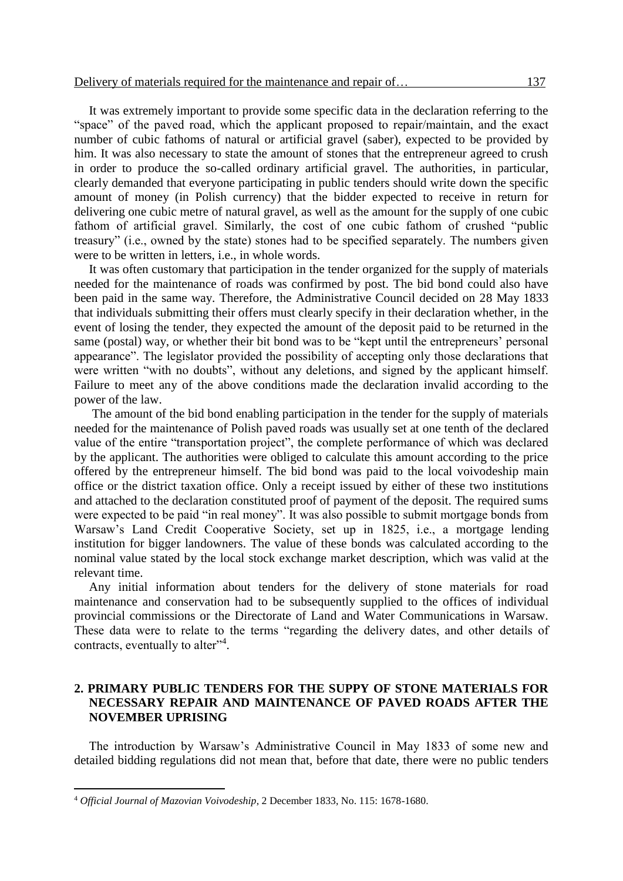It was extremely important to provide some specific data in the declaration referring to the "space" of the paved road, which the applicant proposed to repair/maintain, and the exact number of cubic fathoms of natural or artificial gravel (saber), expected to be provided by him. It was also necessary to state the amount of stones that the entrepreneur agreed to crush in order to produce the so-called ordinary artificial gravel. The authorities, in particular, clearly demanded that everyone participating in public tenders should write down the specific amount of money (in Polish currency) that the bidder expected to receive in return for delivering one cubic metre of natural gravel, as well as the amount for the supply of one cubic fathom of artificial gravel. Similarly, the cost of one cubic fathom of crushed "public treasury" (i.e., owned by the state) stones had to be specified separately. The numbers given were to be written in letters, i.e., in whole words.

It was often customary that participation in the tender organized for the supply of materials needed for the maintenance of roads was confirmed by post. The bid bond could also have been paid in the same way. Therefore, the Administrative Council decided on 28 May 1833 that individuals submitting their offers must clearly specify in their declaration whether, in the event of losing the tender, they expected the amount of the deposit paid to be returned in the same (postal) way, or whether their bit bond was to be "kept until the entrepreneurs' personal appearance". The legislator provided the possibility of accepting only those declarations that were written "with no doubts", without any deletions, and signed by the applicant himself. Failure to meet any of the above conditions made the declaration invalid according to the power of the law.

The amount of the bid bond enabling participation in the tender for the supply of materials needed for the maintenance of Polish paved roads was usually set at one tenth of the declared value of the entire "transportation project", the complete performance of which was declared by the applicant. The authorities were obliged to calculate this amount according to the price offered by the entrepreneur himself. The bid bond was paid to the local voivodeship main office or the district taxation office. Only a receipt issued by either of these two institutions and attached to the declaration constituted proof of payment of the deposit. The required sums were expected to be paid "in real money". It was also possible to submit mortgage bonds from Warsaw's Land Credit Cooperative Society, set up in 1825, i.e., a mortgage lending institution for bigger landowners. The value of these bonds was calculated according to the nominal value stated by the local stock exchange market description, which was valid at the relevant time.

Any initial information about tenders for the delivery of stone materials for road maintenance and conservation had to be subsequently supplied to the offices of individual provincial commissions or the Directorate of Land and Water Communications in Warsaw. These data were to relate to the terms "regarding the delivery dates, and other details of contracts, eventually to alter<sup>34</sup>.

#### **2. PRIMARY PUBLIC TENDERS FOR THE SUPPY OF STONE MATERIALS FOR NECESSARY REPAIR AND MAINTENANCE OF PAVED ROADS AFTER THE NOVEMBER UPRISING**

The introduction by Warsaw's Administrative Council in May 1833 of some new and detailed bidding regulations did not mean that, before that date, there were no public tenders

<sup>4</sup> *Official Journal of Mazovian Voivodeship*, 2 December 1833, No. 115: 1678-1680.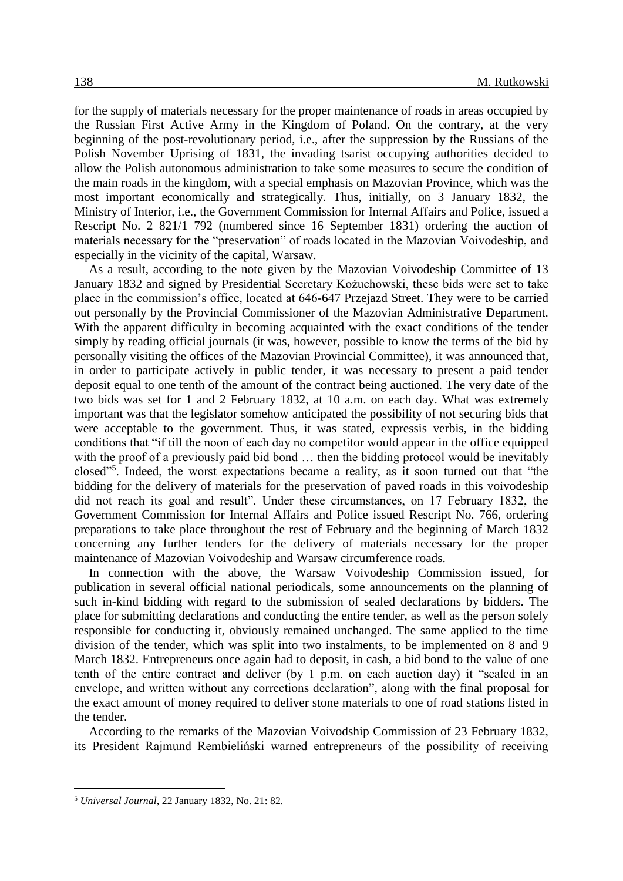for the supply of materials necessary for the proper maintenance of roads in areas occupied by the Russian First Active Army in the Kingdom of Poland. On the contrary, at the very beginning of the post-revolutionary period, i.e., after the suppression by the Russians of the Polish November Uprising of 1831, the invading tsarist occupying authorities decided to allow the Polish autonomous administration to take some measures to secure the condition of the main roads in the kingdom, with a special emphasis on Mazovian Province, which was the most important economically and strategically. Thus, initially, on 3 January 1832, the Ministry of Interior, i.e., the Government Commission for Internal Affairs and Police, issued a Rescript No. 2 821/1 792 (numbered since 16 September 1831) ordering the auction of materials necessary for the "preservation" of roads located in the Mazovian Voivodeship, and especially in the vicinity of the capital, Warsaw.

As a result, according to the note given by the Mazovian Voivodeship Committee of 13 January 1832 and signed by Presidential Secretary Kożuchowski, these bids were set to take place in the commission's office, located at 646-647 Przejazd Street. They were to be carried out personally by the Provincial Commissioner of the Mazovian Administrative Department. With the apparent difficulty in becoming acquainted with the exact conditions of the tender simply by reading official journals (it was, however, possible to know the terms of the bid by personally visiting the offices of the Mazovian Provincial Committee), it was announced that, in order to participate actively in public tender, it was necessary to present a paid tender deposit equal to one tenth of the amount of the contract being auctioned. The very date of the two bids was set for 1 and 2 February 1832, at 10 a.m. on each day. What was extremely important was that the legislator somehow anticipated the possibility of not securing bids that were acceptable to the government. Thus, it was stated, expressis verbis, in the bidding conditions that "if till the noon of each day no competitor would appear in the office equipped with the proof of a previously paid bid bond ... then the bidding protocol would be inevitably closed"<sup>5</sup> . Indeed, the worst expectations became a reality, as it soon turned out that "the bidding for the delivery of materials for the preservation of paved roads in this voivodeship did not reach its goal and result". Under these circumstances, on 17 February 1832, the Government Commission for Internal Affairs and Police issued Rescript No. 766, ordering preparations to take place throughout the rest of February and the beginning of March 1832 concerning any further tenders for the delivery of materials necessary for the proper maintenance of Mazovian Voivodeship and Warsaw circumference roads.

In connection with the above, the Warsaw Voivodeship Commission issued, for publication in several official national periodicals, some announcements on the planning of such in-kind bidding with regard to the submission of sealed declarations by bidders. The place for submitting declarations and conducting the entire tender, as well as the person solely responsible for conducting it, obviously remained unchanged. The same applied to the time division of the tender, which was split into two instalments, to be implemented on 8 and 9 March 1832. Entrepreneurs once again had to deposit, in cash, a bid bond to the value of one tenth of the entire contract and deliver (by 1 p.m. on each auction day) it "sealed in an envelope, and written without any corrections declaration", along with the final proposal for the exact amount of money required to deliver stone materials to one of road stations listed in the tender.

According to the remarks of the Mazovian Voivodship Commission of 23 February 1832, its President Rajmund Rembieliński warned entrepreneurs of the possibility of receiving

<sup>5</sup> *Universal Journal*, 22 January 1832, No. 21: 82.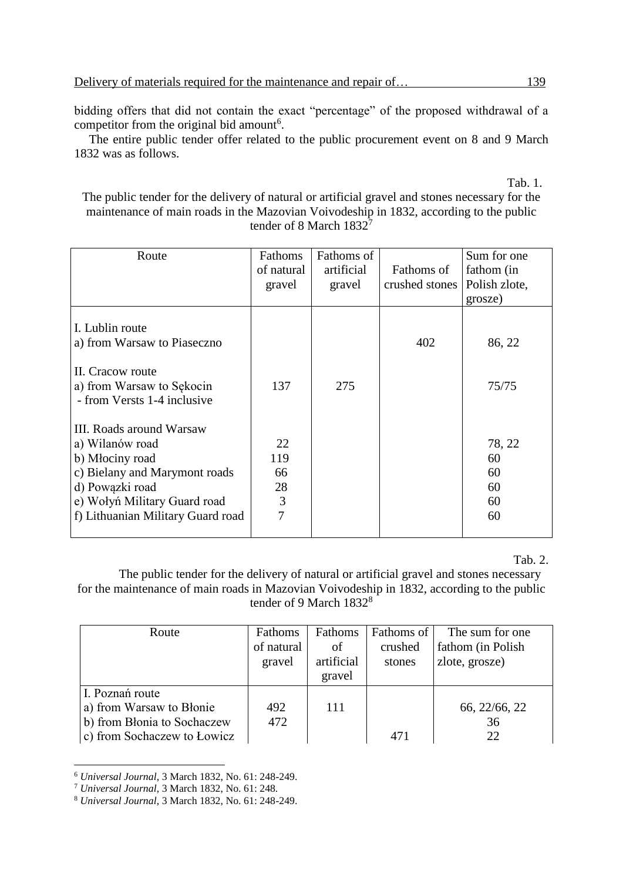bidding offers that did not contain the exact "percentage" of the proposed withdrawal of a competitor from the original bid amount<sup>6</sup>.

The entire public tender offer related to the public procurement event on 8 and 9 March 1832 was as follows.

Tab. 1.

The public tender for the delivery of natural or artificial gravel and stones necessary for the maintenance of main roads in the Mazovian Voivodeship in 1832, according to the public tender of 8 March 1832<sup>7</sup>

| Route                                                                                                                                                                                   | Fathoms<br>of natural<br>gravel | Fathoms of<br>artificial<br>gravel | Fathoms of<br>crushed stones | Sum for one<br>fathom (in<br>Polish zlote,<br>grosze) |
|-----------------------------------------------------------------------------------------------------------------------------------------------------------------------------------------|---------------------------------|------------------------------------|------------------------------|-------------------------------------------------------|
| I. Lublin route<br>a) from Warsaw to Piaseczno<br>II. Cracow route<br>a) from Warsaw to Sękocin<br>- from Versts 1-4 inclusive                                                          | 137                             | 275                                | 402                          | 86, 22<br>75/75                                       |
| III. Roads around Warsaw<br>a) Wilanów road<br>b) Młociny road<br>c) Bielany and Marymont roads<br>d) Powązki road<br>e) Wołyń Military Guard road<br>f) Lithuanian Military Guard road | 22<br>119<br>66<br>28<br>3<br>7 |                                    |                              | 78, 22<br>60<br>60<br>60<br>60<br>60                  |

Tab. 2.

The public tender for the delivery of natural or artificial gravel and stones necessary for the maintenance of main roads in Mazovian Voivodeship in 1832, according to the public tender of 9 March 1832<sup>8</sup>

| Route                                                                                                     | Fathoms<br>of natural<br>gravel | Fathoms<br>οf<br>artificial<br>gravel | Fathoms of<br>crushed<br>stones | The sum for one<br>fathom (in Polish)<br>zlote, grosze) |
|-----------------------------------------------------------------------------------------------------------|---------------------------------|---------------------------------------|---------------------------------|---------------------------------------------------------|
| I. Poznań route<br>a) from Warsaw to Błonie<br>b) from Blonia to Sochaczew<br>c) from Sochaczew to Łowicz | 492<br>472                      | 111                                   | 471                             | 66, 22/66, 22<br>36<br>22                               |

<sup>6</sup> *Universal Journal*, 3 March 1832, No. 61: 248-249.

<sup>7</sup> *Universal Journal*, 3 March 1832, No. 61: 248.

<sup>8</sup> *Universal Journal*, 3 March 1832, No. 61: 248-249.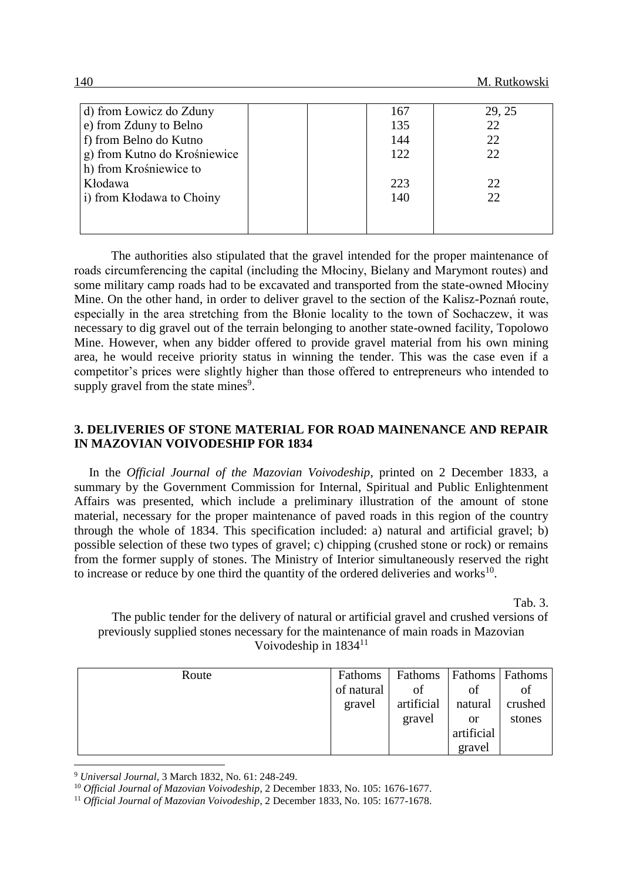| d) from Lowicz do Zduny      | 167 | 29, 25 |
|------------------------------|-----|--------|
| e) from Zduny to Belno       | 135 | 22     |
| f) from Belno do Kutno       | 144 | 22     |
| g) from Kutno do Krośniewice | 122 | 22     |
| h) from Krośniewice to       |     |        |
| Kłodawa                      | 223 | 22     |
| i) from Kłodawa to Choiny    | 140 | 22     |
|                              |     |        |
|                              |     |        |

The authorities also stipulated that the gravel intended for the proper maintenance of roads circumferencing the capital (including the Młociny, Bielany and Marymont routes) and some military camp roads had to be excavated and transported from the state-owned Młociny Mine. On the other hand, in order to deliver gravel to the section of the Kalisz-Poznań route, especially in the area stretching from the Błonie locality to the town of Sochaczew, it was necessary to dig gravel out of the terrain belonging to another state-owned facility, Topolowo Mine. However, when any bidder offered to provide gravel material from his own mining area, he would receive priority status in winning the tender. This was the case even if a competitor's prices were slightly higher than those offered to entrepreneurs who intended to supply gravel from the state mines<sup>9</sup>.

#### **3. DELIVERIES OF STONE MATERIAL FOR ROAD MAINENANCE AND REPAIR IN MAZOVIAN VOIVODESHIP FOR 1834**

In the *Official Journal of the Mazovian Voivodeship*, printed on 2 December 1833, a summary by the Government Commission for Internal, Spiritual and Public Enlightenment Affairs was presented, which include a preliminary illustration of the amount of stone material, necessary for the proper maintenance of paved roads in this region of the country through the whole of 1834. This specification included: a) natural and artificial gravel; b) possible selection of these two types of gravel; c) chipping (crushed stone or rock) or remains from the former supply of stones. The Ministry of Interior simultaneously reserved the right to increase or reduce by one third the quantity of the ordered deliveries and works $10$ .

Tab. 3.

The public tender for the delivery of natural or artificial gravel and crushed versions of previously supplied stones necessary for the maintenance of main roads in Mazovian Voivodeship in 1834<sup>11</sup>

| Route | Fathoms    | Fathoms    | <b>Fathoms</b> Fathoms |         |
|-------|------------|------------|------------------------|---------|
|       | of natural | of         | of                     | ΟĪ      |
|       | gravel     | artificial | natural                | crushed |
|       |            | gravel     | or                     | stones  |
|       |            |            | artificial             |         |
|       |            |            | gravel                 |         |

<sup>9</sup> *Universal Journal*, 3 March 1832, No. 61: 248-249.

<sup>10</sup> *Official Journal of Mazovian Voivodeship*, 2 December 1833, No. 105: 1676-1677.

<sup>11</sup> *Official Journal of Mazovian Voivodeship*, 2 December 1833, No. 105: 1677-1678.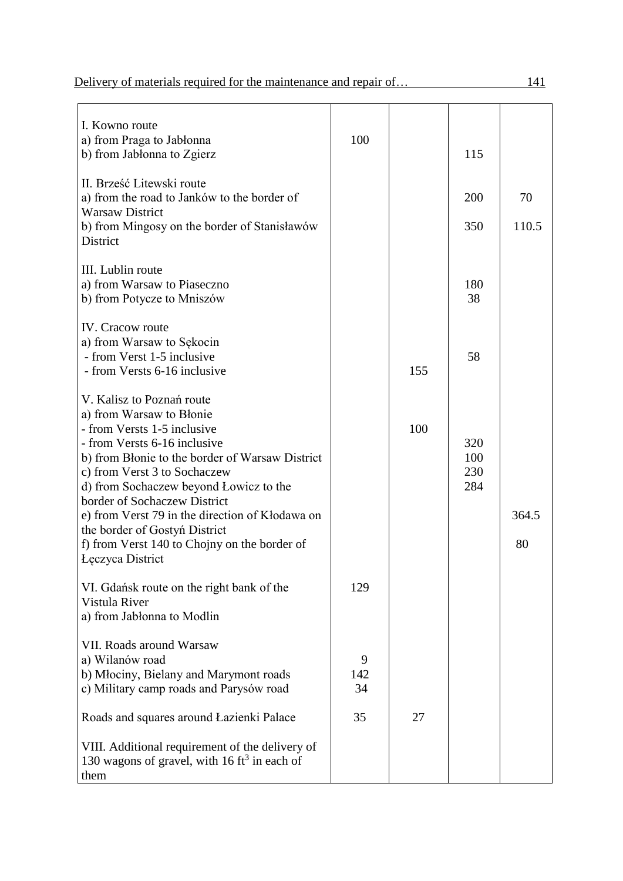| I. Kowno route<br>a) from Praga to Jabłonna<br>b) from Jabłonna to Zgierz                                                                                                                 | 100            |     | 115                      |             |
|-------------------------------------------------------------------------------------------------------------------------------------------------------------------------------------------|----------------|-----|--------------------------|-------------|
| II. Brześć Litewski route<br>a) from the road to Janków to the border of<br><b>Warsaw District</b>                                                                                        |                |     | 200                      | 70          |
| b) from Mingosy on the border of Stanisławów<br>District                                                                                                                                  |                |     | 350                      | 110.5       |
| III. Lublin route<br>a) from Warsaw to Piaseczno<br>b) from Potycze to Mniszów                                                                                                            |                |     | 180<br>38                |             |
| <b>IV.</b> Cracow route<br>a) from Warsaw to Sękocin<br>- from Verst 1-5 inclusive<br>- from Versts 6-16 inclusive                                                                        |                | 155 | 58                       |             |
| V. Kalisz to Poznań route<br>a) from Warsaw to Błonie<br>- from Versts 1-5 inclusive                                                                                                      |                | 100 |                          |             |
| - from Versts 6-16 inclusive<br>b) from Blonie to the border of Warsaw District<br>c) from Verst 3 to Sochaczew<br>d) from Sochaczew beyond Lowicz to the<br>border of Sochaczew District |                |     | 320<br>100<br>230<br>284 |             |
| e) from Verst 79 in the direction of Kłodawa on<br>the border of Gostyn District<br>f) from Verst 140 to Chojny on the border of<br><b>Leczyca District</b>                               |                |     |                          | 364.5<br>80 |
| VI. Gdańsk route on the right bank of the<br>Vistula River<br>a) from Jabłonna to Modlin                                                                                                  | 129            |     |                          |             |
| VII. Roads around Warsaw<br>a) Wilanów road<br>b) Młociny, Bielany and Marymont roads<br>c) Military camp roads and Parysów road                                                          | 9<br>142<br>34 |     |                          |             |
| Roads and squares around Łazienki Palace                                                                                                                                                  | 35             | 27  |                          |             |
| VIII. Additional requirement of the delivery of<br>130 wagons of gravel, with 16 ft <sup>3</sup> in each of<br>them                                                                       |                |     |                          |             |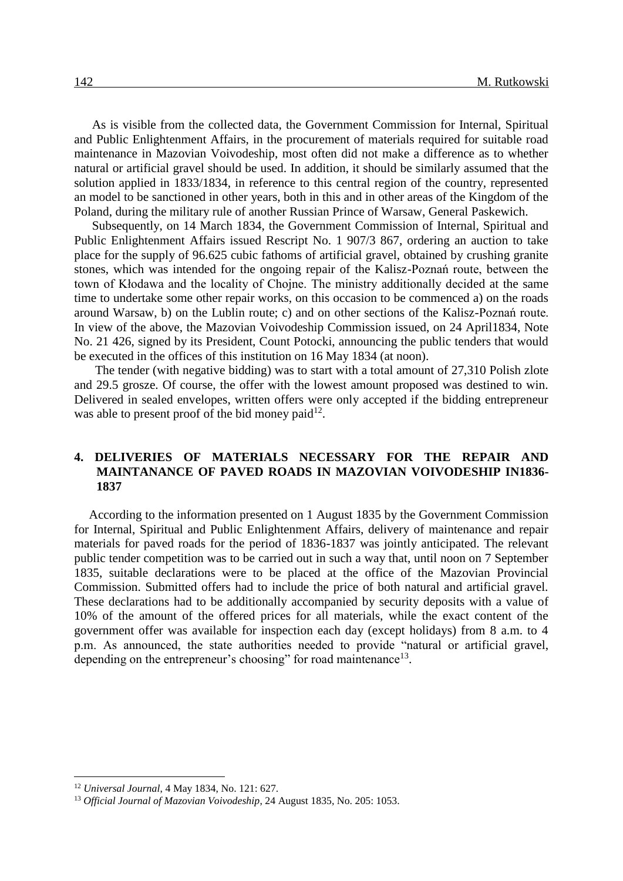As is visible from the collected data, the Government Commission for Internal, Spiritual and Public Enlightenment Affairs, in the procurement of materials required for suitable road maintenance in Mazovian Voivodeship, most often did not make a difference as to whether natural or artificial gravel should be used. In addition, it should be similarly assumed that the solution applied in 1833/1834, in reference to this central region of the country, represented an model to be sanctioned in other years, both in this and in other areas of the Kingdom of the Poland, during the military rule of another Russian Prince of Warsaw, General Paskewich.

Subsequently, on 14 March 1834, the Government Commission of Internal, Spiritual and Public Enlightenment Affairs issued Rescript No. 1 907/3 867, ordering an auction to take place for the supply of 96.625 cubic fathoms of artificial gravel, obtained by crushing granite stones, which was intended for the ongoing repair of the Kalisz-Poznań route, between the town of Kłodawa and the locality of Chojne. The ministry additionally decided at the same time to undertake some other repair works, on this occasion to be commenced a) on the roads around Warsaw, b) on the Lublin route; c) and on other sections of the Kalisz-Poznań route. In view of the above, the Mazovian Voivodeship Commission issued, on 24 April1834, Note No. 21 426, signed by its President, Count Potocki, announcing the public tenders that would be executed in the offices of this institution on 16 May 1834 (at noon).

The tender (with negative bidding) was to start with a total amount of 27,310 Polish zlote and 29.5 grosze. Of course, the offer with the lowest amount proposed was destined to win. Delivered in sealed envelopes, written offers were only accepted if the bidding entrepreneur was able to present proof of the bid money paid $^{12}$ .

#### **4. DELIVERIES OF MATERIALS NECESSARY FOR THE REPAIR AND MAINTANANCE OF PAVED ROADS IN MAZOVIAN VOIVODESHIP IN1836- 1837**

According to the information presented on 1 August 1835 by the Government Commission for Internal, Spiritual and Public Enlightenment Affairs, delivery of maintenance and repair materials for paved roads for the period of 1836-1837 was jointly anticipated. The relevant public tender competition was to be carried out in such a way that, until noon on 7 September 1835, suitable declarations were to be placed at the office of the Mazovian Provincial Commission. Submitted offers had to include the price of both natural and artificial gravel. These declarations had to be additionally accompanied by security deposits with a value of 10% of the amount of the offered prices for all materials, while the exact content of the government offer was available for inspection each day (except holidays) from 8 a.m. to 4 p.m. As announced, the state authorities needed to provide "natural or artificial gravel, depending on the entrepreneur's choosing" for road maintenance<sup>13</sup>.

<sup>12</sup> *Universal Journal*, 4 May 1834, No. 121: 627.

<sup>13</sup> *Official Journal of Mazovian Voivodeship*, 24 August 1835, No. 205: 1053.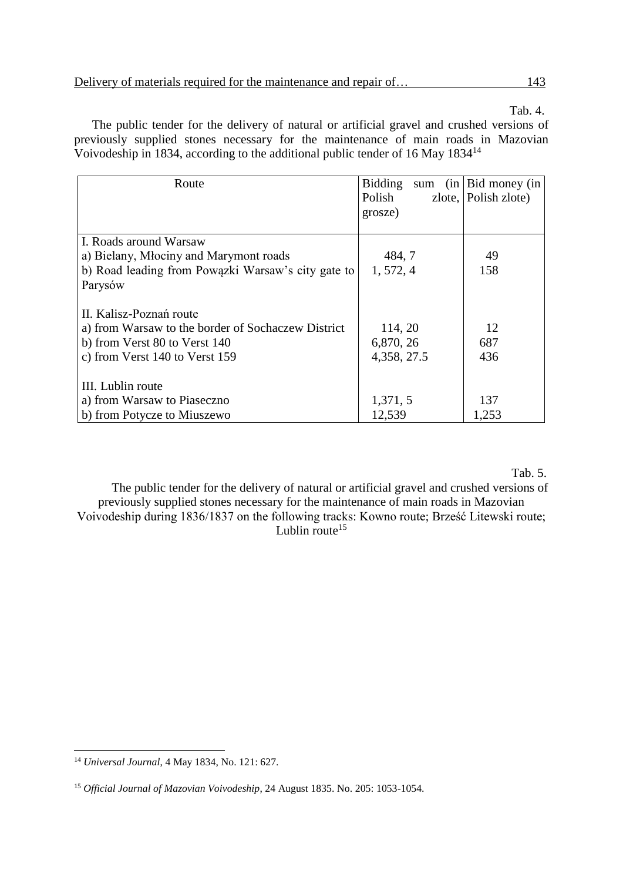Tab. 4.

The public tender for the delivery of natural or artificial gravel and crushed versions of previously supplied stones necessary for the maintenance of main roads in Mazovian Voivodeship in 1834, according to the additional public tender of 16 May 1834<sup>14</sup>

| Route                                              | <b>Bidding</b> | sum $(in   Bid$ money $(in)$ |
|----------------------------------------------------|----------------|------------------------------|
|                                                    | Polish         | zlote, Polish zlote)         |
|                                                    | grosze)        |                              |
|                                                    |                |                              |
| I. Roads around Warsaw                             |                |                              |
| a) Bielany, Młociny and Marymont roads             | 484, 7         | 49                           |
| b) Road leading from Powazki Warsaw's city gate to | 1, 572, 4      | 158                          |
| Parysów                                            |                |                              |
|                                                    |                |                              |
| II. Kalisz-Poznań route                            |                |                              |
| a) from Warsaw to the border of Sochaczew District | 114, 20        | 12                           |
| b) from Verst 80 to Verst 140                      | 6,870, 26      | 687                          |
| c) from Verst 140 to Verst 159                     | 4,358, 27.5    | 436                          |
|                                                    |                |                              |
| III. Lublin route                                  |                |                              |
| a) from Warsaw to Piaseczno                        | 1,371, 5       | 137                          |
| b) from Potycze to Miuszewo                        | 12,539         | 1,253                        |

Tab. 5.

The public tender for the delivery of natural or artificial gravel and crushed versions of previously supplied stones necessary for the maintenance of main roads in Mazovian Voivodeship during 1836/1837 on the following tracks: Kowno route; Brześć Litewski route; Lublin route $15$ 

<sup>14</sup> *Universal Journal*, 4 May 1834, No. 121: 627.

<sup>15</sup> *Official Journal of Mazovian Voivodeship*, 24 August 1835. No. 205: 1053-1054.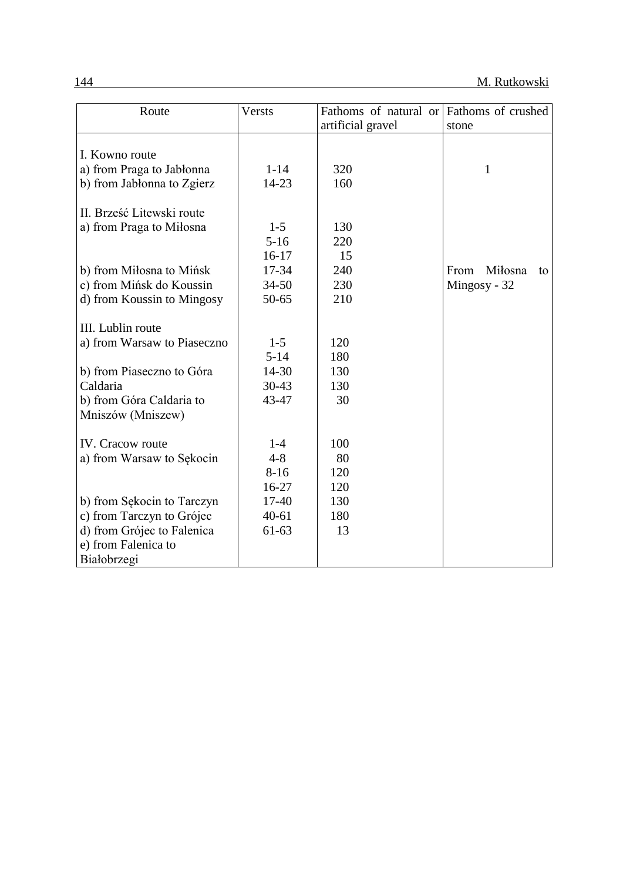| Route                       | Versts    | Fathoms of natural or | Fathoms of crushed    |
|-----------------------------|-----------|-----------------------|-----------------------|
|                             |           | artificial gravel     | stone                 |
|                             |           |                       |                       |
| I. Kowno route              |           |                       |                       |
| a) from Praga to Jabłonna   | $1 - 14$  | 320                   | 1                     |
| b) from Jabłonna to Zgierz  | 14-23     | 160                   |                       |
| II. Brześć Litewski route   |           |                       |                       |
| a) from Praga to Miłosna    | $1 - 5$   | 130                   |                       |
|                             | $5-16$    | 220                   |                       |
|                             | $16-17$   | 15                    |                       |
| b) from Miłosna to Mińsk    | 17-34     | 240                   | Miłosna<br>From<br>to |
| c) from Mińsk do Koussin    | $34 - 50$ | 230                   | Mingosy - 32          |
| d) from Koussin to Mingosy  | $50 - 65$ | 210                   |                       |
|                             |           |                       |                       |
| III. Lublin route           |           |                       |                       |
| a) from Warsaw to Piaseczno | $1 - 5$   | 120                   |                       |
|                             | $5 - 14$  | 180                   |                       |
| b) from Piaseczno to Góra   | 14-30     | 130                   |                       |
| Caldaria                    | $30 - 43$ | 130                   |                       |
| b) from Góra Caldaria to    | 43-47     | 30                    |                       |
| Mniszów (Mniszew)           |           |                       |                       |
|                             |           |                       |                       |
| <b>IV.</b> Cracow route     | $1-4$     | 100                   |                       |
| a) from Warsaw to Sękocin   | $4 - 8$   | 80                    |                       |
|                             | $8-16$    | 120                   |                       |
|                             | $16-27$   | 120                   |                       |
| b) from Sękocin to Tarczyn  | 17-40     | 130                   |                       |
| c) from Tarczyn to Grójec   | $40 - 61$ | 180                   |                       |
| d) from Grójec to Falenica  | $61-63$   | 13                    |                       |
| e) from Falenica to         |           |                       |                       |
| Białobrzegi                 |           |                       |                       |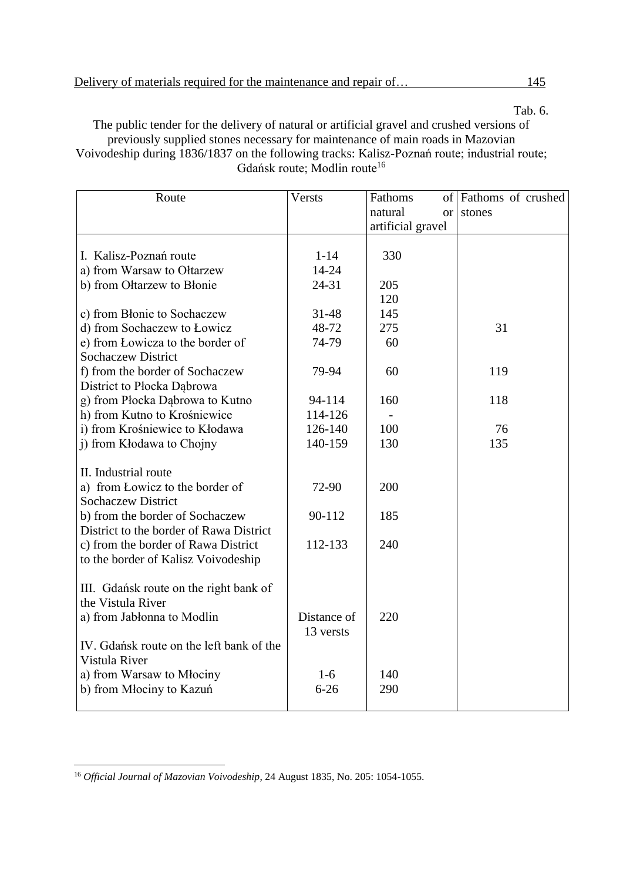Tab. 6.

The public tender for the delivery of natural or artificial gravel and crushed versions of previously supplied stones necessary for maintenance of main roads in Mazovian Voivodeship during 1836/1837 on the following tracks: Kalisz-Poznań route; industrial route; Gdańsk route; Modlin route<sup>16</sup>

| Route                                    | Versts      | Fathoms              | of Fathoms of crushed |
|------------------------------------------|-------------|----------------------|-----------------------|
|                                          |             | natural<br><b>or</b> | stones                |
|                                          |             | artificial gravel    |                       |
|                                          |             |                      |                       |
| I. Kalisz-Poznań route                   | $1 - 14$    | 330                  |                       |
| a) from Warsaw to Ołtarzew               | 14-24       |                      |                       |
| b) from Ołtarzew to Błonie               | $24 - 31$   | 205                  |                       |
|                                          |             | 120                  |                       |
| c) from Błonie to Sochaczew              | 31-48       | 145                  |                       |
| d) from Sochaczew to Łowicz              | 48-72       | 275                  | 31                    |
| e) from Lowicza to the border of         | 74-79       | 60                   |                       |
| <b>Sochaczew District</b>                |             |                      |                       |
| f) from the border of Sochaczew          | 79-94       | 60                   | 119                   |
| District to Płocka Dąbrowa               |             |                      |                       |
| g) from Płocka Dąbrowa to Kutno          | 94-114      | 160                  | 118                   |
| h) from Kutno to Krośniewice             | 114-126     |                      |                       |
| i) from Krośniewice to Kłodawa           | 126-140     | 100                  | 76                    |
| j) from Kłodawa to Chojny                | 140-159     | 130                  | 135                   |
|                                          |             |                      |                       |
| II. Industrial route                     |             |                      |                       |
| a) from Lowicz to the border of          | 72-90       | 200                  |                       |
| <b>Sochaczew District</b>                |             |                      |                       |
| b) from the border of Sochaczew          | 90-112      | 185                  |                       |
| District to the border of Rawa District  |             |                      |                       |
| c) from the border of Rawa District      | 112-133     | 240                  |                       |
| to the border of Kalisz Voivodeship      |             |                      |                       |
|                                          |             |                      |                       |
| III. Gdańsk route on the right bank of   |             |                      |                       |
| the Vistula River                        |             |                      |                       |
| a) from Jabłonna to Modlin               | Distance of | 220                  |                       |
|                                          | 13 versts   |                      |                       |
| IV. Gdańsk route on the left bank of the |             |                      |                       |
| Vistula River                            |             |                      |                       |
| a) from Warsaw to Młociny                | $1-6$       | 140                  |                       |
| b) from Młociny to Kazuń                 | $6 - 26$    | 290                  |                       |
|                                          |             |                      |                       |

 $\overline{a}$ <sup>16</sup> *Official Journal of Mazovian Voivodeship*, 24 August 1835, No. 205: 1054-1055.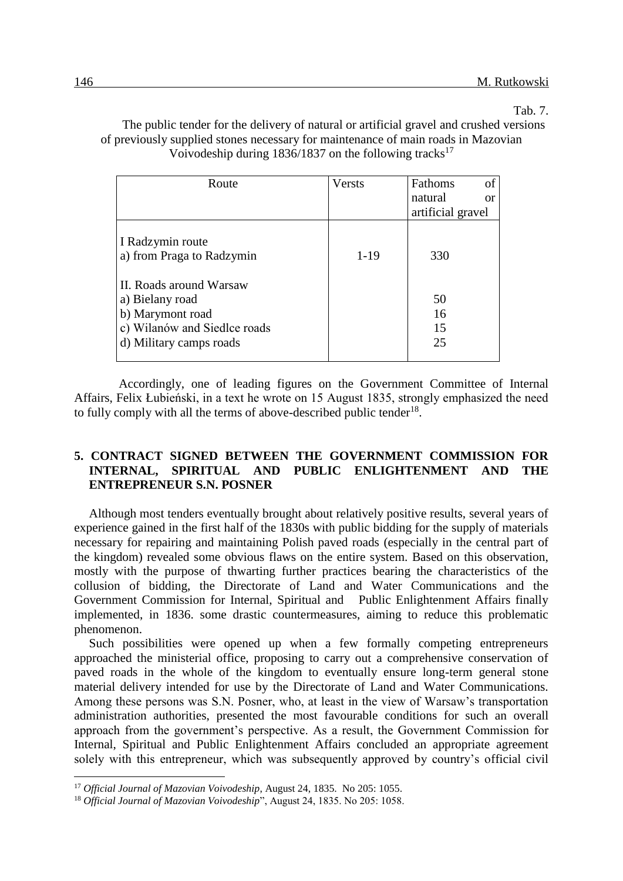Tab. 7.

The public tender for the delivery of natural or artificial gravel and crushed versions of previously supplied stones necessary for maintenance of main roads in Mazovian Voivodeship during  $1836/1837$  on the following tracks<sup>17</sup>

| Route                        | <b>Versts</b> | of<br>Fathoms            |
|------------------------------|---------------|--------------------------|
|                              |               | natural<br><sub>or</sub> |
|                              |               | artificial gravel        |
|                              |               |                          |
| I Radzymin route             |               |                          |
| a) from Praga to Radzymin    | $1 - 19$      | 330                      |
|                              |               |                          |
| II. Roads around Warsaw      |               |                          |
| a) Bielany road              |               | 50                       |
| b) Marymont road             |               | 16                       |
| c) Wilanów and Siedlce roads |               | 15                       |
| d) Military camps roads      |               | 25                       |
|                              |               |                          |

Accordingly, one of leading figures on the Government Committee of Internal Affairs, Felix Łubieński, in a text he wrote on 15 August 1835, strongly emphasized the need to fully comply with all the terms of above-described public tender<sup>18</sup>.

### **5. CONTRACT SIGNED BETWEEN THE GOVERNMENT COMMISSION FOR INTERNAL, SPIRITUAL AND PUBLIC ENLIGHTENMENT AND THE ENTREPRENEUR S.N. POSNER**

Although most tenders eventually brought about relatively positive results, several years of experience gained in the first half of the 1830s with public bidding for the supply of materials necessary for repairing and maintaining Polish paved roads (especially in the central part of the kingdom) revealed some obvious flaws on the entire system. Based on this observation, mostly with the purpose of thwarting further practices bearing the characteristics of the collusion of bidding, the Directorate of Land and Water Communications and the Government Commission for Internal, Spiritual and Public Enlightenment Affairs finally implemented, in 1836. some drastic countermeasures, aiming to reduce this problematic phenomenon.

Such possibilities were opened up when a few formally competing entrepreneurs approached the ministerial office, proposing to carry out a comprehensive conservation of paved roads in the whole of the kingdom to eventually ensure long-term general stone material delivery intended for use by the Directorate of Land and Water Communications. Among these persons was S.N. Posner, who, at least in the view of Warsaw's transportation administration authorities, presented the most favourable conditions for such an overall approach from the government's perspective. As a result, the Government Commission for Internal, Spiritual and Public Enlightenment Affairs concluded an appropriate agreement solely with this entrepreneur, which was subsequently approved by country's official civil

<sup>17</sup> *Official Journal of Mazovian Voivodeship*, August 24, 1835. No 205: 1055.

<sup>18</sup> *Official Journal of Mazovian Voivodeship*", August 24, 1835. No 205: 1058.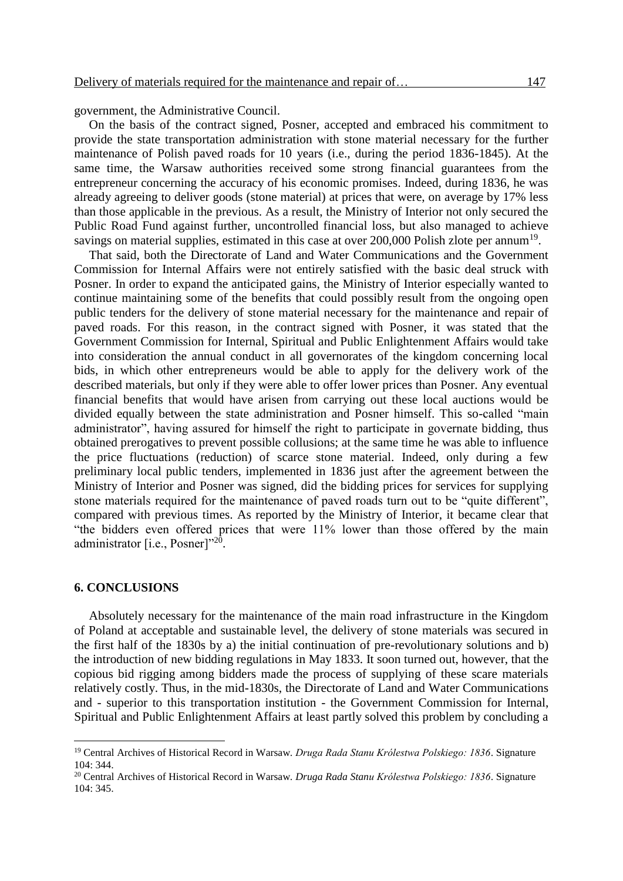government, the Administrative Council.

On the basis of the contract signed, Posner, accepted and embraced his commitment to provide the state transportation administration with stone material necessary for the further maintenance of Polish paved roads for 10 years (i.e., during the period 1836-1845). At the same time, the Warsaw authorities received some strong financial guarantees from the entrepreneur concerning the accuracy of his economic promises. Indeed, during 1836, he was already agreeing to deliver goods (stone material) at prices that were, on average by 17% less than those applicable in the previous. As a result, the Ministry of Interior not only secured the Public Road Fund against further, uncontrolled financial loss, but also managed to achieve savings on material supplies, estimated in this case at over 200,000 Polish zlote per annum<sup>19</sup>.

That said, both the Directorate of Land and Water Communications and the Government Commission for Internal Affairs were not entirely satisfied with the basic deal struck with Posner. In order to expand the anticipated gains, the Ministry of Interior especially wanted to continue maintaining some of the benefits that could possibly result from the ongoing open public tenders for the delivery of stone material necessary for the maintenance and repair of paved roads. For this reason, in the contract signed with Posner, it was stated that the Government Commission for Internal, Spiritual and Public Enlightenment Affairs would take into consideration the annual conduct in all governorates of the kingdom concerning local bids, in which other entrepreneurs would be able to apply for the delivery work of the described materials, but only if they were able to offer lower prices than Posner. Any eventual financial benefits that would have arisen from carrying out these local auctions would be divided equally between the state administration and Posner himself. This so-called "main administrator", having assured for himself the right to participate in governate bidding, thus obtained prerogatives to prevent possible collusions; at the same time he was able to influence the price fluctuations (reduction) of scarce stone material. Indeed, only during a few preliminary local public tenders, implemented in 1836 just after the agreement between the Ministry of Interior and Posner was signed, did the bidding prices for services for supplying stone materials required for the maintenance of paved roads turn out to be "quite different", compared with previous times. As reported by the Ministry of Interior, it became clear that "the bidders even offered prices that were 11% lower than those offered by the main administrator [i.e., Posner]"<sup>20</sup>.

#### **6. CONCLUSIONS**

 $\overline{a}$ 

Absolutely necessary for the maintenance of the main road infrastructure in the Kingdom of Poland at acceptable and sustainable level, the delivery of stone materials was secured in the first half of the 1830s by a) the initial continuation of pre-revolutionary solutions and b) the introduction of new bidding regulations in May 1833. It soon turned out, however, that the copious bid rigging among bidders made the process of supplying of these scare materials relatively costly. Thus, in the mid-1830s, the Directorate of Land and Water Communications and - superior to this transportation institution - the Government Commission for Internal, Spiritual and Public Enlightenment Affairs at least partly solved this problem by concluding a

<sup>19</sup> Central Archives of Historical Record in Warsaw. *Druga Rada Stanu Królestwa Polskiego: 1836*. Signature 104: 344.

<sup>20</sup> Central Archives of Historical Record in Warsaw. *Druga Rada Stanu Królestwa Polskiego: 1836*. Signature 104: 345.